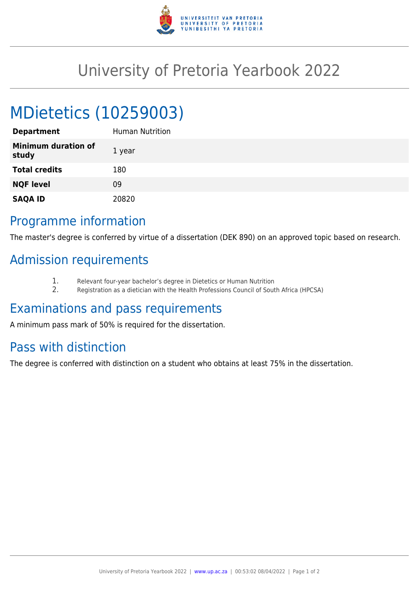

## University of Pretoria Yearbook 2022

# MDietetics (10259003)

| <b>Department</b>                   | Human Nutrition |
|-------------------------------------|-----------------|
| <b>Minimum duration of</b><br>study | 1 year          |
| <b>Total credits</b>                | 180             |
| <b>NQF level</b>                    | 09              |
| <b>SAQA ID</b>                      | 20820           |

#### Programme information

The master's degree is conferred by virtue of a dissertation (DEK 890) on an approved topic based on research.

### Admission requirements

- 1. Relevant four-year bachelor's degree in Dietetics or Human Nutrition<br>2. Registration as a dietician with the Health Professions Council of Sout
- 2. Registration as a dietician with the Health Professions Council of South Africa (HPCSA)

#### Examinations and pass requirements

A minimum pass mark of 50% is required for the dissertation.

### Pass with distinction

The degree is conferred with distinction on a student who obtains at least 75% in the dissertation.